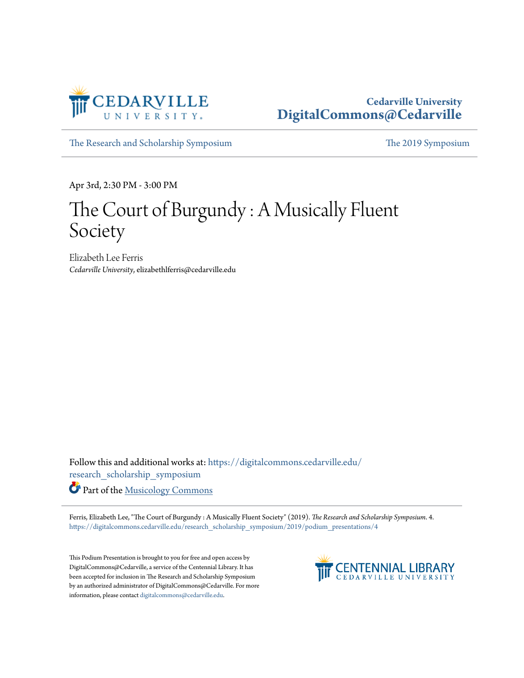

#### **Cedarville University [DigitalCommons@Cedarville](https://digitalcommons.cedarville.edu?utm_source=digitalcommons.cedarville.edu%2Fresearch_scholarship_symposium%2F2019%2Fpodium_presentations%2F4&utm_medium=PDF&utm_campaign=PDFCoverPages)**

[The Research and Scholarship Symposium](https://digitalcommons.cedarville.edu/research_scholarship_symposium?utm_source=digitalcommons.cedarville.edu%2Fresearch_scholarship_symposium%2F2019%2Fpodium_presentations%2F4&utm_medium=PDF&utm_campaign=PDFCoverPages) [The 2019 Symposium](https://digitalcommons.cedarville.edu/research_scholarship_symposium/2019?utm_source=digitalcommons.cedarville.edu%2Fresearch_scholarship_symposium%2F2019%2Fpodium_presentations%2F4&utm_medium=PDF&utm_campaign=PDFCoverPages)

Apr 3rd, 2:30 PM - 3:00 PM

#### The Court of Burgundy : A Musically Fluent Society

Elizabeth Lee Ferris *Cedarville University*, elizabethlferris@cedarville.edu

Follow this and additional works at: [https://digitalcommons.cedarville.edu/](https://digitalcommons.cedarville.edu/research_scholarship_symposium?utm_source=digitalcommons.cedarville.edu%2Fresearch_scholarship_symposium%2F2019%2Fpodium_presentations%2F4&utm_medium=PDF&utm_campaign=PDFCoverPages) [research\\_scholarship\\_symposium](https://digitalcommons.cedarville.edu/research_scholarship_symposium?utm_source=digitalcommons.cedarville.edu%2Fresearch_scholarship_symposium%2F2019%2Fpodium_presentations%2F4&utm_medium=PDF&utm_campaign=PDFCoverPages)

Part of the [Musicology Commons](http://network.bepress.com/hgg/discipline/521?utm_source=digitalcommons.cedarville.edu%2Fresearch_scholarship_symposium%2F2019%2Fpodium_presentations%2F4&utm_medium=PDF&utm_campaign=PDFCoverPages)

Ferris, Elizabeth Lee, "The Court of Burgundy : A Musically Fluent Society" (2019). *The Research and Scholarship Symposium*. 4. [https://digitalcommons.cedarville.edu/research\\_scholarship\\_symposium/2019/podium\\_presentations/4](https://digitalcommons.cedarville.edu/research_scholarship_symposium/2019/podium_presentations/4?utm_source=digitalcommons.cedarville.edu%2Fresearch_scholarship_symposium%2F2019%2Fpodium_presentations%2F4&utm_medium=PDF&utm_campaign=PDFCoverPages)

This Podium Presentation is brought to you for free and open access by DigitalCommons@Cedarville, a service of the Centennial Library. It has been accepted for inclusion in The Research and Scholarship Symposium by an authorized administrator of DigitalCommons@Cedarville. For more information, please contact [digitalcommons@cedarville.edu.](mailto:digitalcommons@cedarville.edu)

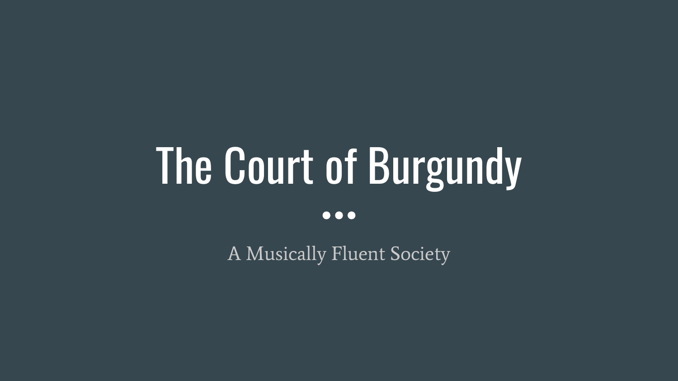# The Court of Burgundy  $\bullet\bullet\bullet$

A Musically Fluent Society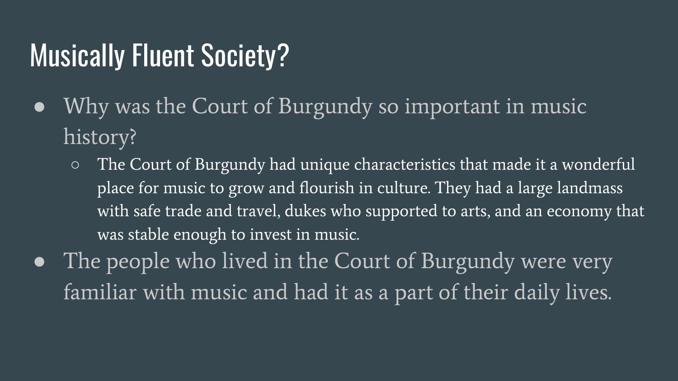#### Musically Fluent Society?

- Why was the Court of Burgundy so important in music history?
	- The Court of Burgundy had unique characteristics that made it a wonderful place for music to grow and flourish in culture. They had a large landmass with safe trade and travel, dukes who supported to arts, and an economy that was stable enough to invest in music.
- The people who lived in the Court of Burgundy were very familiar with music and had it as a part of their daily lives.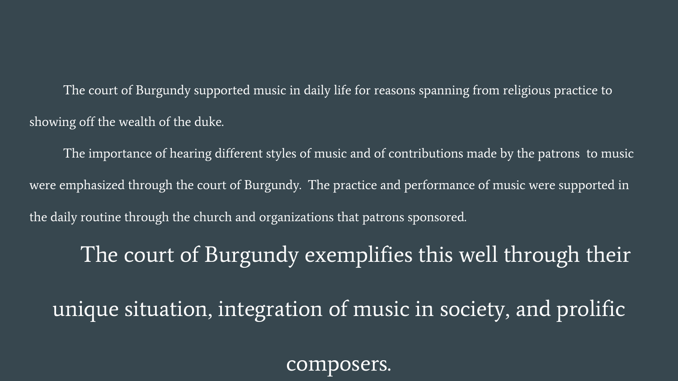The court of Burgundy supported music in daily life for reasons spanning from religious practice to showing off the wealth of the duke.

The importance of hearing different styles of music and of contributions made by the patrons to music were emphasized through the court of Burgundy. The practice and performance of music were supported in the daily routine through the church and organizations that patrons sponsored.

The court of Burgundy exemplifies this well through their unique situation, integration of music in society, and prolific

composers.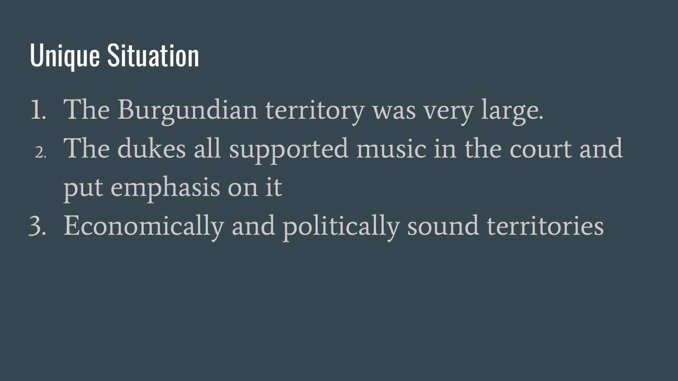### Unique Situation

- 1. The Burgundian territory was very large.
- 2. The dukes all supported music in the court and put emphasis on it
- 3. Economically and politically sound territories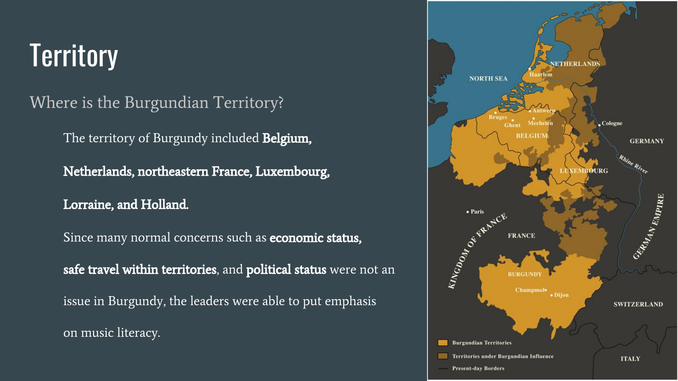## **Territory**

Where is the Burgundian Territory?

The territory of Burgundy included **Belgium**,

Netherlands, northeastern France, Luxembourg,

Lorraine, and Holland.

Since many normal concerns such as **economic status**, safe travel within territories, and political status were not an issue in Burgundy, the leaders were able to put emphasis on music literacy.

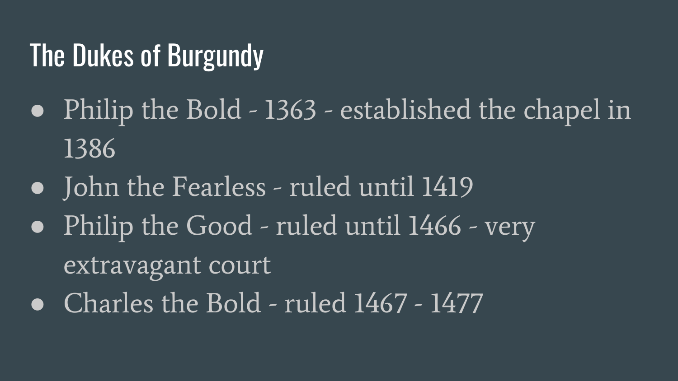#### The Dukes of Burgundy

- Philip the Bold 1363 established the chapel in 1386
- John the Fearless ruled until 1419
- Philip the Good ruled until 1466 very extravagant court
- Charles the Bold ruled  $1467 1477$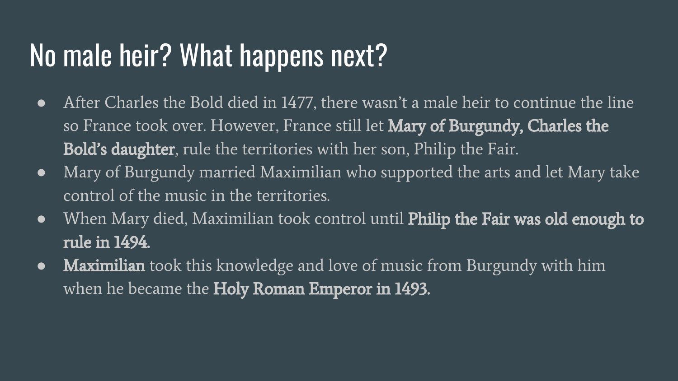#### No male heir? What happens next?

- After Charles the Bold died in 1477, there wasn't a male heir to continue the line so France took over. However, France still let **Mary of Burgundy, Charles the Bold's daughter**, rule the territories with her son, Philip the Fair.
- Mary of Burgundy married Maximilian who supported the arts and let Mary take control of the music in the territories.
- When Mary died, Maximilian took control until **Philip the Fair was old enough to** rule in 1494.
- Maximilian took this knowledge and love of music from Burgundy with him when he became the Holy Roman Emperor in 1493.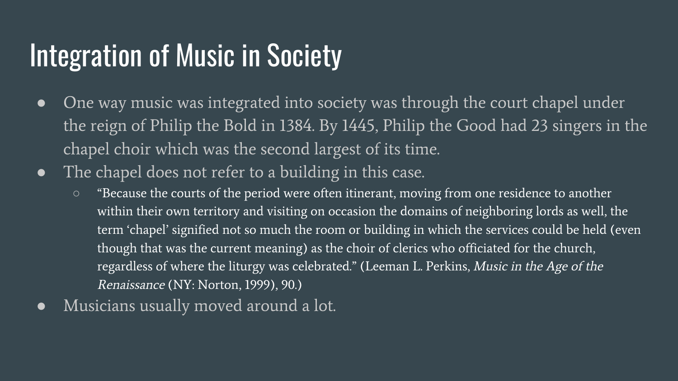#### Integration of Music in Society

- One way music was integrated into society was through the court chapel under the reign of Philip the Bold in 1384. By 1445, Philip the Good had 23 singers in the chapel choir which was the second largest of its time.
- The chapel does not refer to a building in this case.
	- "Because the courts of the period were often itinerant, moving from one residence to another within their own territory and visiting on occasion the domains of neighboring lords as well, the term 'chapel' signified not so much the room or building in which the services could be held (even though that was the current meaning) as the choir of clerics who officiated for the church, regardless of where the liturgy was celebrated." (Leeman L. Perkins, Music in the Age of the Renaissance (NY: Norton, 1999), 90.)
- Musicians usually moved around a lot.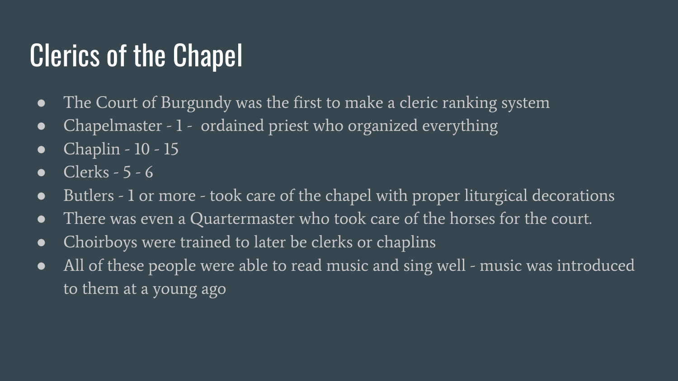#### **Clerics of the Chapel**

- The Court of Burgundy was the first to make a cleric ranking system
- Chapelmaster 1 ordained priest who organized everything
- Chaplin  $10 15$
- $\bullet$  Clerks 5 6
- Butlers 1 or more took care of the chapel with proper liturgical decorations
- There was even a Quartermaster who took care of the horses for the court.
- Choirboys were trained to later be clerks or chaplins
- All of these people were able to read music and sing well music was introduced to them at a young ago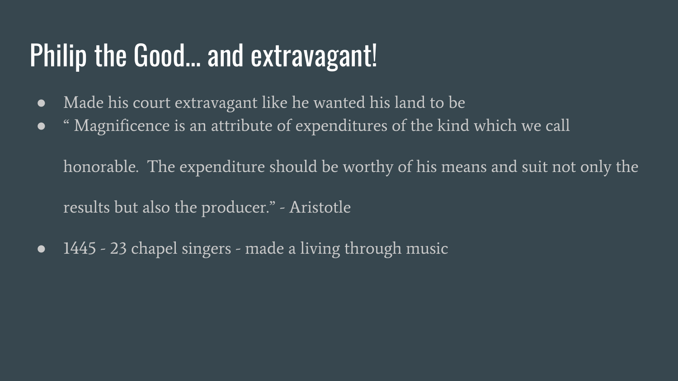#### Philip the Good… and extravagant!

- Made his court extravagant like he wanted his land to be
- " Magnificence is an attribute of expenditures of the kind which we call

honorable. The expenditure should be worthy of his means and suit not only the results but also the producer." - Aristotle

• 1445 - 23 chapel singers - made a living through music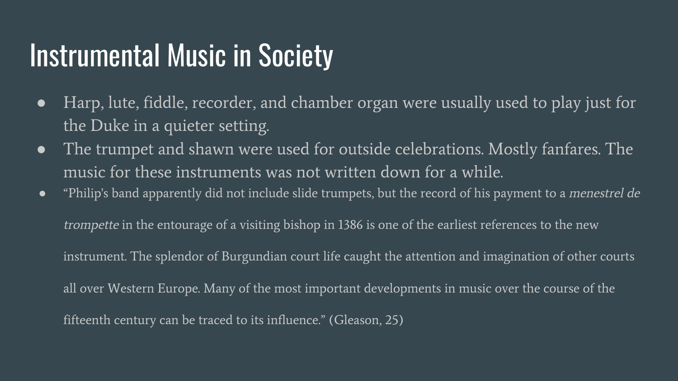#### Instrumental Music in Society

- Harp, lute, fiddle, recorder, and chamber organ were usually used to play just for the Duke in a quieter setting.
- The trumpet and shawn were used for outside celebrations. Mostly fanfares. The music for these instruments was not written down for a while.
- "Philip's band apparently did not include slide trumpets, but the record of his payment to a menestrel de trompette in the entourage of a visiting bishop in 1386 is one of the earliest references to the new instrument. The splendor of Burgundian court life caught the attention and imagination of other courts all over Western Europe. Many of the most important developments in music over the course of the fifteenth century can be traced to its influence." (Gleason, 25)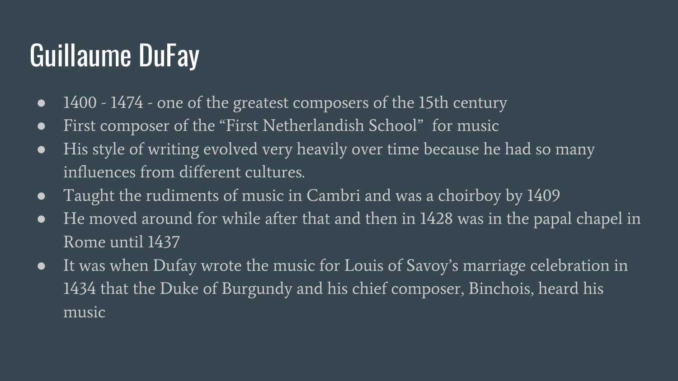#### Guillaume DuFay

- 1400 1474 one of the greatest composers of the 15th century
- First composer of the "First Netherlandish School" for music
- His style of writing evolved very heavily over time because he had so many influences from different cultures.
- Taught the rudiments of music in Cambri and was a choirboy by 1409
- He moved around for while after that and then in 1428 was in the papal chapel in Rome until 1437
- It was when Dufay wrote the music for Louis of Savoy's marriage celebration in 1434 that the Duke of Burgundy and his chief composer, Binchois, heard his music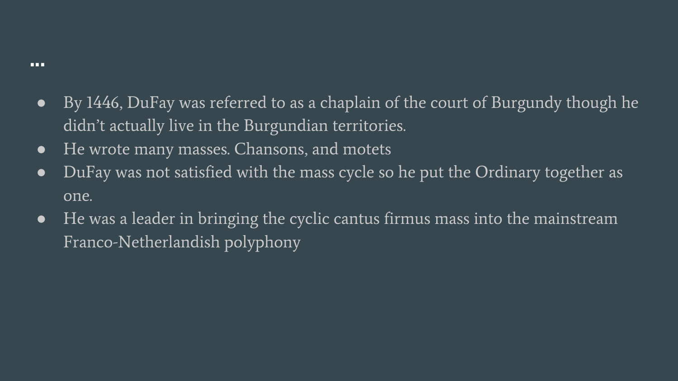- By 1446, DuFay was referred to as a chaplain of the court of Burgundy though he didn't actually live in the Burgundian territories.
- He wrote many masses. Chansons, and motets
- DuFay was not satisfied with the mass cycle so he put the Ordinary together as one.
- He was a leader in bringing the cyclic cantus firmus mass into the mainstream Franco-Netherlandish polyphony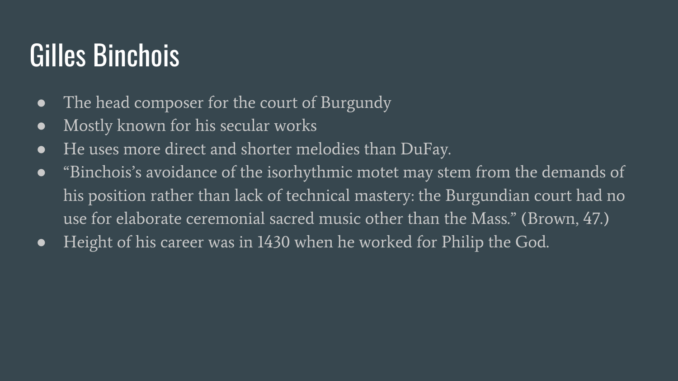#### Gilles Binchois

- The head composer for the court of Burgundy
- Mostly known for his secular works
- He uses more direct and shorter melodies than DuFay.
- "Binchois's avoidance of the isorhythmic motet may stem from the demands of his position rather than lack of technical mastery: the Burgundian court had no use for elaborate ceremonial sacred music other than the Mass." (Brown, 47.)
- Height of his career was in 1430 when he worked for Philip the God.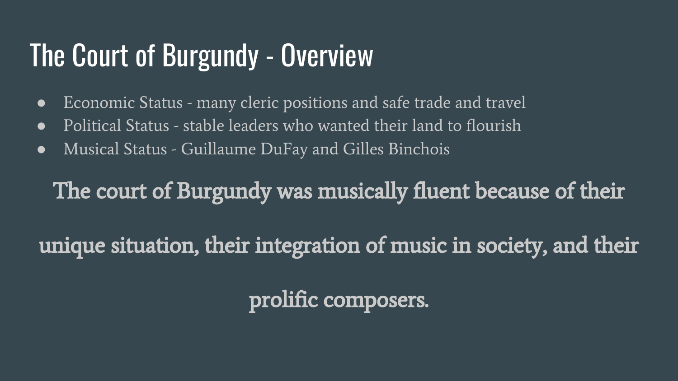#### The Court of Burgundy - Overview

- Economic Status many cleric positions and safe trade and travel
- Political Status stable leaders who wanted their land to flourish
- Musical Status Guillaume DuFay and Gilles Binchois

The court of Burgundy was musically fluent because of their

unique situation, their integration of music in society, and their

prolific composers.